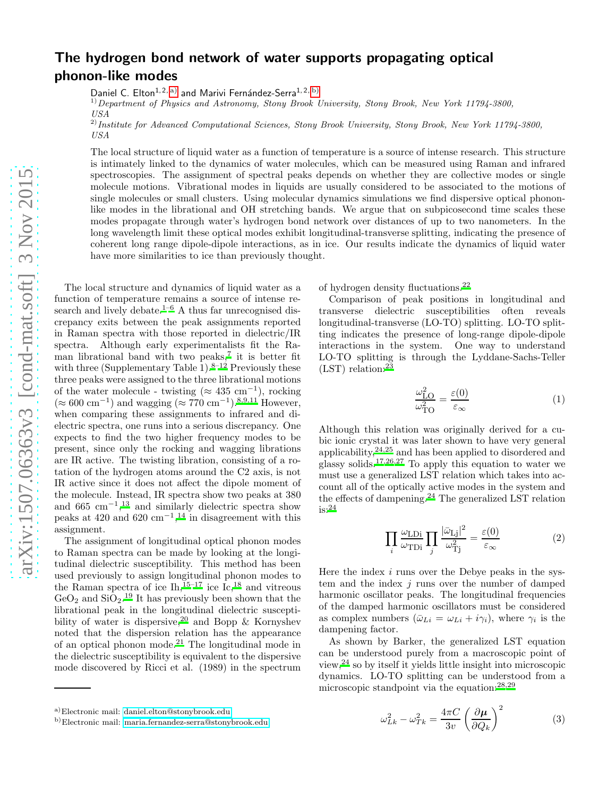# The hydrogen bond network of water supports propagating optical phonon-like modes

Daniel C. Elton<sup>1, 2, a</sup>) and Marivi Fernández-Serra<sup>1, 2, [b\)](#page-0-1)</sup>

 $1)$  Department of Physics and Astronomy, Stony Brook University, Stony Brook, New York 11794-3800, USA

 $^{2)}$ Institute for Advanced Computational Sciences, Stony Brook University, Stony Brook, New York 11794-3800, USA

The local structure of liquid water as a function of temperature is a source of intense research. This structure is intimately linked to the dynamics of water molecules, which can be measured using Raman and infrared spectroscopies. The assignment of spectral peaks depends on whether they are collective modes or single molecule motions. Vibrational modes in liquids are usually considered to be associated to the motions of single molecules or small clusters. Using molecular dynamics simulations we find dispersive optical phononlike modes in the librational and OH stretching bands. We argue that on subpicosecond time scales these modes propagate through water's hydrogen bond network over distances of up to two nanometers. In the long wavelength limit these optical modes exhibit longitudinal-transverse splitting, indicating the presence of coherent long range dipole-dipole interactions, as in ice. Our results indicate the dynamics of liquid water have more similarities to ice than previously thought.

The local structure and dynamics of liquid water as a function of temperature remains a source of intense re-search and lively debate.<sup>[1](#page-7-0)[–6](#page-7-1)</sup> A thus far unrecognised discrepancy exits between the peak assignments reported in Raman spectra with those reported in dielectric/IR spectra. Although early experimentalists fit the Raman librational band with two peaks,[7](#page-7-2) it is better fit with three (Supplementary Table 1).<sup>[8](#page-7-3)[–12](#page-7-4)</sup> Previously these three peaks were assigned to the three librational motions of the water molecule - twisting ( $\approx 435 \text{ cm}^{-1}$ ), rocking (≈ 600 cm<sup>-1</sup>) and wagging (≈ 770 cm<sup>-1</sup>).<sup>[8](#page-7-3)[,9](#page-7-5)[,11](#page-7-6)</sup> However, when comparing these assignments to infrared and dielectric spectra, one runs into a serious discrepancy. One expects to find the two higher frequency modes to be present, since only the rocking and wagging librations are IR active. The twisting libration, consisting of a rotation of the hydrogen atoms around the C2 axis, is not IR active since it does not affect the dipole moment of the molecule. Instead, IR spectra show two peaks at 380 and  $665 \text{ cm}^{-1}$ ,<sup>[13](#page-7-7)</sup> and similarly dielectric spectra show peaks at 420 and 620 cm<sup>-1</sup>,<sup>[14](#page-7-8)</sup> in disagreement with this assignment.

The assignment of longitudinal optical phonon modes to Raman spectra can be made by looking at the longitudinal dielectric susceptibility. This method has been used previously to assign longitudinal phonon modes to the Raman spectra of ice  $\text{Ih}$ ,  $^{15-17}$  $^{15-17}$  $^{15-17}$  ice  $\text{Ic}$ ,  $^{18}$  $^{18}$  $^{18}$  and vitreous  $\text{GeO}_2$  and  $\text{SiO}_2$ .<sup>[19](#page-7-12)</sup> It has previously been shown that the librational peak in the longitudinal dielectric susceptibility of water is dispersive,  $20$  and Bopp & Kornyshev noted that the dispersion relation has the appearance of an optical phonon mode.[21](#page-7-14) The longitudinal mode in the dielectric susceptibility is equivalent to the dispersive mode discovered by Ricci et al. (1989) in the spectrum of hydrogen density fluctuations.[22](#page-7-15)

Comparison of peak positions in longitudinal and transverse dielectric susceptibilities often reveals longitudinal-transverse (LO-TO) splitting. LO-TO splitting indicates the presence of long-range dipole-dipole interactions in the system. One way to understand LO-TO splitting is through the Lyddane-Sachs-Teller  $(LST)$  relation:<sup>[23](#page-7-16)</sup>

$$
\frac{\omega_{\text{LO}}^2}{\omega_{\text{TO}}^2} = \frac{\varepsilon(0)}{\varepsilon_{\infty}}\tag{1}
$$

Although this relation was originally derived for a cubic ionic crystal it was later shown to have very general applicability, $24,25$  $24,25$  and has been applied to disordered and glassy solids.[17](#page-7-10)[,26](#page-7-19)[,27](#page-7-20) To apply this equation to water we must use a generalized LST relation which takes into account all of the optically active modes in the system and the effects of dampening.[24](#page-7-17) The generalized LST relation is:[24](#page-7-17)

$$
\prod_{i} \frac{\omega_{\text{LDi}}}{\omega_{\text{TDi}}} \prod_{j} \frac{|\bar{\omega}_{\text{Lj}}|^2}{\omega_{\text{Tj}}^2} = \frac{\varepsilon(0)}{\varepsilon_{\infty}}
$$
(2)

Here the index  $i$  runs over the Debye peaks in the system and the index  $i$  runs over the number of damped harmonic oscillator peaks. The longitudinal frequencies of the damped harmonic oscillators must be considered as complex numbers  $(\bar{\omega}_{Li} = \omega_{Li} + i\gamma_i)$ , where  $\gamma_i$  is the dampening factor.

As shown by Barker, the generalized LST equation can be understood purely from a macroscopic point of view,[24](#page-7-17) so by itself it yields little insight into microscopic dynamics. LO-TO splitting can be understood from a microscopic standpoint via the equation:[28](#page-7-21)[,29](#page-7-22)

<span id="page-0-2"></span>
$$
\omega_{Lk}^2 - \omega_{Tk}^2 = \frac{4\pi C}{3v} \left(\frac{\partial \mu}{\partial Q_k}\right)^2 \tag{3}
$$

<span id="page-0-0"></span>a)Electronic mail: [daniel.elton@stonybrook.edu](mailto:daniel.elton@stonybrook.edu)

<span id="page-0-1"></span>b)Electronic mail: [maria.fernandez-serra@stonybrook.edu](mailto:maria.fernandez-serra@stonybrook.edu)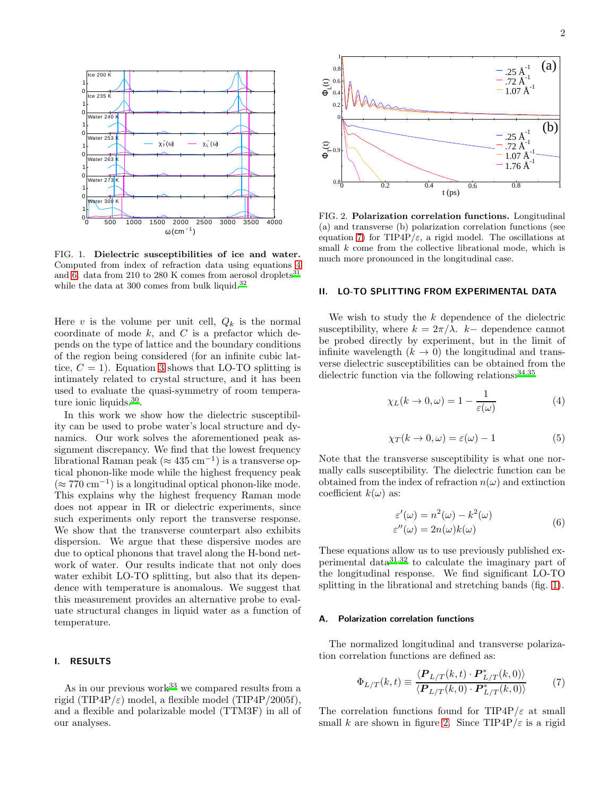

FIG. 1. Dielectric susceptibilities of ice and water. Computed from index of refraction data using equations [4](#page-1-0) and [6.](#page-1-1) data from 210 to 280 K comes from aerosol droplets  $\rm ^{31}$  $\rm ^{31}$  $\rm ^{31}$ while the data at 300 comes from bulk liquid.<sup>[32](#page-8-0)</sup>

Here v is the volume per unit cell,  $Q_k$  is the normal coordinate of mode  $k$ , and  $C$  is a prefactor which depends on the type of lattice and the boundary conditions of the region being considered (for an infinite cubic lattice,  $C = 1$ ). Equation [3](#page-0-2) shows that LO-TO splitting is intimately related to crystal structure, and it has been used to evaluate the quasi-symmetry of room tempera-ture ionic liquids.<sup>[30](#page-7-24)</sup>.

In this work we show how the dielectric susceptibility can be used to probe water's local structure and dynamics. Our work solves the aforementioned peak assignment discrepancy. We find that the lowest frequency librational Raman peak ( $\approx 435$  cm<sup>-1</sup>) is a transverse optical phonon-like mode while the highest frequency peak  $(≈ 770 cm<sup>-1</sup>)$  is a longitudinal optical phonon-like mode. This explains why the highest frequency Raman mode does not appear in IR or dielectric experiments, since such experiments only report the transverse response. We show that the transverse counterpart also exhibits dispersion. We argue that these dispersive modes are due to optical phonons that travel along the H-bond network of water. Our results indicate that not only does water exhibit LO-TO splitting, but also that its dependence with temperature is anomalous. We suggest that this measurement provides an alternative probe to evaluate structural changes in liquid water as a function of temperature.

# I. RESULTS

As in our previous work<sup>[33](#page-8-1)</sup> we compared results from a rigid (TIP4P/ $\varepsilon$ ) model, a flexible model (TIP4P/2005f), and a flexible and polarizable model (TTM3F) in all of our analyses.



FIG. 2. Polarization correlation functions. Longitudinal (a) and transverse (b) polarization correlation functions (see equation [7\)](#page-1-2) for TIP4P/ $\varepsilon$ , a rigid model. The oscillations at small  $k$  come from the collective librational mode, which is much more pronounced in the longitudinal case.

## II. LO-TO SPLITTING FROM EXPERIMENTAL DATA

We wish to study the  $k$  dependence of the dielectric susceptibility, where  $k = 2\pi/\lambda$ . k– dependence cannot be probed directly by experiment, but in the limit of infinite wavelength  $(k \to 0)$  the longitudinal and transverse dielectric susceptibilities can be obtained from the dielectric function via the following relations:  $34,35$  $34,35$ 

<span id="page-1-0"></span>
$$
\chi_L(k \to 0, \omega) = 1 - \frac{1}{\varepsilon(\omega)}\tag{4}
$$

$$
\chi_T(k \to 0, \omega) = \varepsilon(\omega) - 1 \tag{5}
$$

Note that the transverse susceptibility is what one normally calls susceptibility. The dielectric function can be obtained from the index of refraction  $n(\omega)$  and extinction coefficient  $k(\omega)$  as:

<span id="page-1-1"></span>
$$
\varepsilon'(\omega) = n^2(\omega) - k^2(\omega)
$$
  
\n
$$
\varepsilon''(\omega) = 2n(\omega)k(\omega)
$$
 (6)

These equations allow us to use previously published experimental data[31](#page-7-23)[,32](#page-8-0) to calculate the imaginary part of the longitudinal response. We find significant LO-TO splitting in the librational and stretching bands (fig. [1\)](#page-10-0).

# A. Polarization correlation functions

The normalized longitudinal and transverse polarization correlation functions are defined as:

<span id="page-1-2"></span>
$$
\Phi_{L/T}(k,t) \equiv \frac{\langle \mathbf{P}_{L/T}(k,t) \cdot \mathbf{P}_{L/T}^*(k,0) \rangle}{\langle \mathbf{P}_{L/T}(k,0) \cdot \mathbf{P}_{L/T}^*(k,0) \rangle} \tag{7}
$$

The correlation functions found for TIP4P/ $\varepsilon$  at small small k are shown in figure [2.](#page-11-0) Since  $TIP4P/\varepsilon$  is a rigid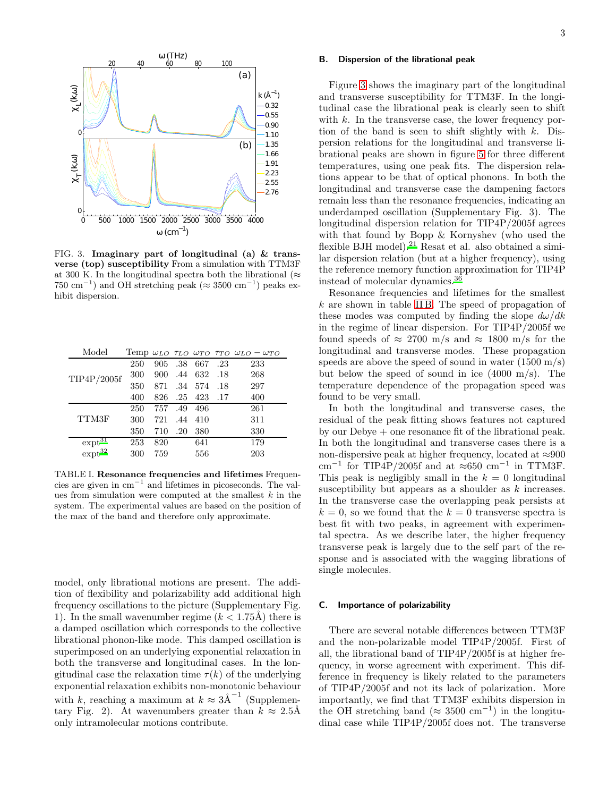

FIG. 3. Imaginary part of longitudinal (a)  $&$  transverse (top) susceptibility From a simulation with TTM3F at 300 K. In the longitudinal spectra both the librational ( $\approx$ 750 cm<sup>-1</sup>) and OH stretching peak (≈ 3500 cm<sup>-1</sup>) peaks exhibit dispersion.

| Model         |     |     |     |     |     | Temp $\omega_{LO}$ $\tau_{LO}$ $\omega_{TO}$ $\tau_{TO}$ $\omega_{LO}$ - $\omega_{TO}$ |
|---------------|-----|-----|-----|-----|-----|----------------------------------------------------------------------------------------|
| TIP4P/2005f   | 250 | 905 | .38 | 667 | .23 | 233                                                                                    |
|               | 300 | 900 | .44 | 632 | .18 | 268                                                                                    |
|               | 350 | 871 | .34 | 574 | .18 | 297                                                                                    |
|               | 400 | 826 | .25 | 423 | .17 | 400                                                                                    |
| TTM3F         | 250 | 757 | .49 | 496 |     | 261                                                                                    |
|               | 300 | 721 | .44 | 410 |     | 311                                                                                    |
|               | 350 | 710 | .20 | 380 |     | 330                                                                                    |
| $\exp t^{31}$ | 253 | 820 |     | 641 |     | 179                                                                                    |
| $\exp t^{32}$ | 300 | 759 |     | 556 |     | 203                                                                                    |

TABLE I. Resonance frequencies and lifetimes Frequencies are given in cm<sup>−</sup><sup>1</sup> and lifetimes in picoseconds. The values from simulation were computed at the smallest  $k$  in the system. The experimental values are based on the position of the max of the band and therefore only approximate.

model, only librational motions are present. The addition of flexibility and polarizability add additional high frequency oscillations to the picture (Supplementary Fig. 1). In the small wavenumber regime  $(k < 1.75\text{\AA})$  there is a damped oscillation which corresponds to the collective librational phonon-like mode. This damped oscillation is superimposed on an underlying exponential relaxation in both the transverse and longitudinal cases. In the longitudinal case the relaxation time  $\tau(k)$  of the underlying exponential relaxation exhibits non-monotonic behaviour with k, reaching a maximum at  $k \approx 3 \text{\AA}^{-1}$  (Supplementary Fig. 2). At wavenumbers greater than  $k \approx 2.5$ Å only intramolecular motions contribute.

# B. Dispersion of the librational peak

Figure [3](#page-11-1) shows the imaginary part of the longitudinal and transverse susceptibility for TTM3F. In the longitudinal case the librational peak is clearly seen to shift with  $k$ . In the transverse case, the lower frequency portion of the band is seen to shift slightly with  $k$ . Dispersion relations for the longitudinal and transverse librational peaks are shown in figure [5](#page-12-0) for three different temperatures, using one peak fits. The dispersion relations appear to be that of optical phonons. In both the longitudinal and transverse case the dampening factors remain less than the resonance frequencies, indicating an underdamped oscillation (Supplementary Fig. 3). The longitudinal dispersion relation for TIP4P/2005f agrees with that found by Bopp & Kornyshev (who used the flexible BJH model).<sup>[21](#page-7-14)</sup> Resat et al. also obtained a similar dispersion relation (but at a higher frequency), using the reference memory function approximation for TIP4P instead of molecular dynamics.[36](#page-8-4)

Resonance frequencies and lifetimes for the smallest  $k$  are shown in table [II B.](#page-11-1) The speed of propagation of these modes was computed by finding the slope  $d\omega/dk$ in the regime of linear dispersion. For TIP4P/2005f we found speeds of  $\approx 2700$  m/s and  $\approx 1800$  m/s for the longitudinal and transverse modes. These propagation speeds are above the speed of sound in water  $(1500 \text{ m/s})$ but below the speed of sound in ice  $(4000 \text{ m/s})$ . The temperature dependence of the propagation speed was found to be very small.

In both the longitudinal and transverse cases, the residual of the peak fitting shows features not captured by our Debye + one resonance fit of the librational peak. In both the longitudinal and transverse cases there is a non-dispersive peak at higher frequency, located at  $\approx 900$  $\text{cm}^{-1}$  for TIP4P/2005f and at ≈650  $\text{cm}^{-1}$  in TTM3F. This peak is negligibly small in the  $k = 0$  longitudinal susceptibility but appears as a shoulder as k increases. In the transverse case the overlapping peak persists at  $k = 0$ , so we found that the  $k = 0$  transverse spectra is best fit with two peaks, in agreement with experimental spectra. As we describe later, the higher frequency transverse peak is largely due to the self part of the response and is associated with the wagging librations of single molecules.

# C. Importance of polarizability

There are several notable differences between TTM3F and the non-polarizable model TIP4P/2005f. First of all, the librational band of TIP4P/2005f is at higher frequency, in worse agreement with experiment. This difference in frequency is likely related to the parameters of TIP4P/2005f and not its lack of polarization. More importantly, we find that TTM3F exhibits dispersion in the OH stretching band ( $\approx 3500 \text{ cm}^{-1}$ ) in the longitudinal case while TIP4P/2005f does not. The transverse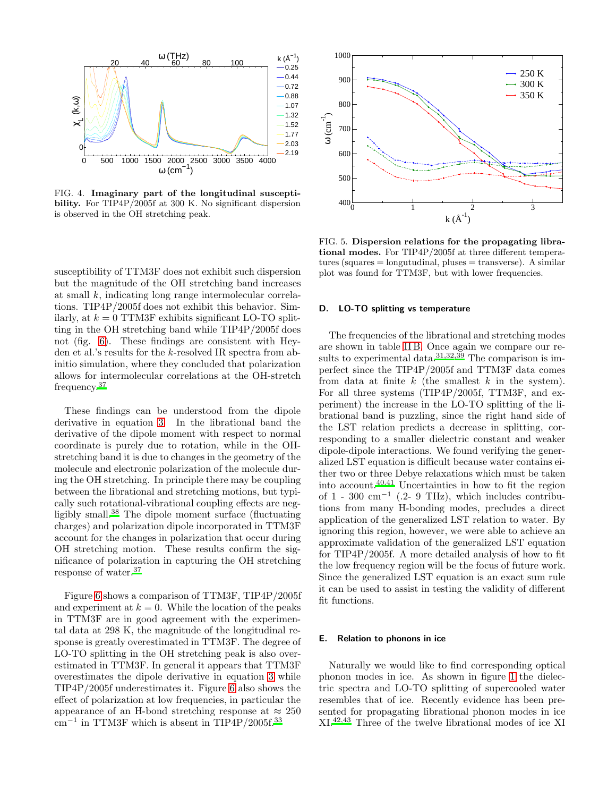

FIG. 4. Imaginary part of the longitudinal susceptibility. For TIP4P/2005f at 300 K. No significant dispersion is observed in the OH stretching peak.

susceptibility of TTM3F does not exhibit such dispersion but the magnitude of the OH stretching band increases at small k, indicating long range intermolecular correlations. TIP4P/2005f does not exhibit this behavior. Similarly, at  $k = 0$  TTM3F exhibits significant LO-TO splitting in the OH stretching band while TIP4P/2005f does not (fig. [6\)](#page-13-0). These findings are consistent with Heyden et al.'s results for the k-resolved IR spectra from abinitio simulation, where they concluded that polarization allows for intermolecular correlations at the OH-stretch frequency.[37](#page-8-5)

These findings can be understood from the dipole derivative in equation [3.](#page-0-2) In the librational band the derivative of the dipole moment with respect to normal coordinate is purely due to rotation, while in the OHstretching band it is due to changes in the geometry of the molecule and electronic polarization of the molecule during the OH stretching. In principle there may be coupling between the librational and stretching motions, but typically such rotational-vibrational coupling effects are negligibly small.[38](#page-8-6) The dipole moment surface (fluctuating charges) and polarization dipole incorporated in TTM3F account for the changes in polarization that occur during OH stretching motion. These results confirm the significance of polarization in capturing the OH stretching response of water.[37](#page-8-5)

Figure [6](#page-13-0) shows a comparison of TTM3F, TIP4P/2005f and experiment at  $k = 0$ . While the location of the peaks in TTM3F are in good agreement with the experimental data at 298 K, the magnitude of the longitudinal response is greatly overestimated in TTM3F. The degree of LO-TO splitting in the OH stretching peak is also overestimated in TTM3F. In general it appears that TTM3F overestimates the dipole derivative in equation [3](#page-0-2) while TIP4P/2005f underestimates it. Figure [6](#page-13-0) also shows the effect of polarization at low frequencies, in particular the appearance of an H-bond stretching response at  $\approx 250$ cm−<sup>1</sup> in TTM3F which is absent in TIP4P/2005f.[33](#page-8-1)



FIG. 5. Dispersion relations for the propagating librational modes. For TIP4P/2005f at three different temperatures (squares  $=$  longutudinal, pluses  $=$  transverse). A similar plot was found for TTM3F, but with lower frequencies.

# D. LO-TO splitting vs temperature

The frequencies of the librational and stretching modes are shown in table [II B.](#page-11-1) Once again we compare our re-sults to experimental data.<sup>[31](#page-7-23)[,32](#page-8-0)[,39](#page-8-7)</sup> The comparison is imperfect since the TIP4P/2005f and TTM3F data comes from data at finite  $k$  (the smallest  $k$  in the system). For all three systems (TIP4P/2005f, TTM3F, and experiment) the increase in the LO-TO splitting of the librational band is puzzling, since the right hand side of the LST relation predicts a decrease in splitting, corresponding to a smaller dielectric constant and weaker dipole-dipole interactions. We found verifying the generalized LST equation is difficult because water contains either two or three Debye relaxations which must be taken into account. $40,41$  $40,41$  Uncertainties in how to fit the region of  $1 - 300$  cm<sup>-1</sup> (.2- 9 THz), which includes contributions from many H-bonding modes, precludes a direct application of the generalized LST relation to water. By ignoring this region, however, we were able to achieve an approximate validation of the generalized LST equation for TIP4P/2005f. A more detailed analysis of how to fit the low frequency region will be the focus of future work. Since the generalized LST equation is an exact sum rule it can be used to assist in testing the validity of different fit functions.

### E. Relation to phonons in ice

Naturally we would like to find corresponding optical phonon modes in ice. As shown in figure [1](#page-10-0) the dielectric spectra and LO-TO splitting of supercooled water resembles that of ice. Recently evidence has been presented for propagating librational phonon modes in ice XI.[42](#page-8-10)[,43](#page-8-11) Three of the twelve librational modes of ice XI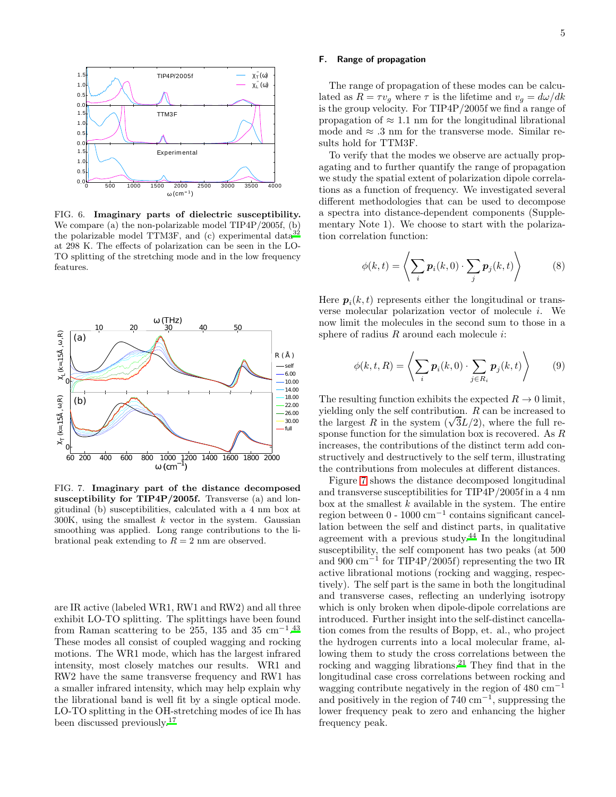

FIG. 6. Imaginary parts of dielectric susceptibility. We compare (a) the non-polarizable model TIP4P/2005f, (b) the polarizable model TTM3F, and (c) experimental data $3^2$ at 298 K. The effects of polarization can be seen in the LO-TO splitting of the stretching mode and in the low frequency features.



FIG. 7. Imaginary part of the distance decomposed susceptibility for TIP4P/2005f. Transverse (a) and longitudinal (b) susceptibilities, calculated with a 4 nm box at  $300K$ , using the smallest  $k$  vector in the system. Gaussian smoothing was applied. Long range contributions to the librational peak extending to  $R = 2$  nm are observed.

are IR active (labeled WR1, RW1 and RW2) and all three exhibit LO-TO splitting. The splittings have been found from Raman scattering to be 255, 135 and 35 cm<sup>-1.[43](#page-8-11)</sup> These modes all consist of coupled wagging and rocking motions. The WR1 mode, which has the largest infrared intensity, most closely matches our results. WR1 and RW2 have the same transverse frequency and RW1 has a smaller infrared intensity, which may help explain why the librational band is well fit by a single optical mode. LO-TO splitting in the OH-stretching modes of ice Ih has been discussed previously.[17](#page-7-10)

# F. Range of propagation

The range of propagation of these modes can be calculated as  $R = \tau v_q$  where  $\tau$  is the lifetime and  $v_q = d\omega/dk$ is the group velocity. For TIP4P/2005f we find a range of propagation of  $\approx 1.1$  nm for the longitudinal librational mode and  $\approx$  .3 nm for the transverse mode. Similar results hold for TTM3F.

To verify that the modes we observe are actually propagating and to further quantify the range of propagation we study the spatial extent of polarization dipole correlations as a function of frequency. We investigated several different methodologies that can be used to decompose a spectra into distance-dependent components (Supplementary Note 1). We choose to start with the polarization correlation function:

$$
\phi(k,t) = \left\langle \sum_{i} \boldsymbol{p}_i(k,0) \cdot \sum_{j} \boldsymbol{p}_j(k,t) \right\rangle \tag{8}
$$

Here  $p_i(k, t)$  represents either the longitudinal or transverse molecular polarization vector of molecule i. We now limit the molecules in the second sum to those in a sphere of radius  $R$  around each molecule  $i$ :

$$
\phi(k, t, R) = \left\langle \sum_{i} p_i(k, 0) \cdot \sum_{j \in R_i} p_j(k, t) \right\rangle \tag{9}
$$

The resulting function exhibits the expected  $R \to 0$  limit, yielding only the self contribution. R can be increased to the largest R in the system  $(\sqrt{3}L/2)$ , where the full response function for the simulation box is recovered. As R increases, the contributions of the distinct term add constructively and destructively to the self term, illustrating the contributions from molecules at different distances.

Figure [7](#page-13-1) shows the distance decomposed longitudinal and transverse susceptibilities for TIP4P/2005f in a 4 nm box at the smallest  $k$  available in the system. The entire region between 0 - 1000 cm<sup>−</sup><sup>1</sup> contains significant cancellation between the self and distinct parts, in qualitative agreement with a previous study.[44](#page-8-12) In the longitudinal susceptibility, the self component has two peaks (at 500 and 900 cm<sup>−</sup><sup>1</sup> for TIP4P/2005f) representing the two IR active librational motions (rocking and wagging, respectively). The self part is the same in both the longitudinal and transverse cases, reflecting an underlying isotropy which is only broken when dipole-dipole correlations are introduced. Further insight into the self-distinct cancellation comes from the results of Bopp, et. al., who project the hydrogen currents into a local molecular frame, allowing them to study the cross correlations between the rocking and wagging librations.[21](#page-7-14) They find that in the longitudinal case cross correlations between rocking and wagging contribute negatively in the region of 480  $cm^{-1}$ and positively in the region of  $740 \text{ cm}^{-1}$ , suppressing the lower frequency peak to zero and enhancing the higher frequency peak.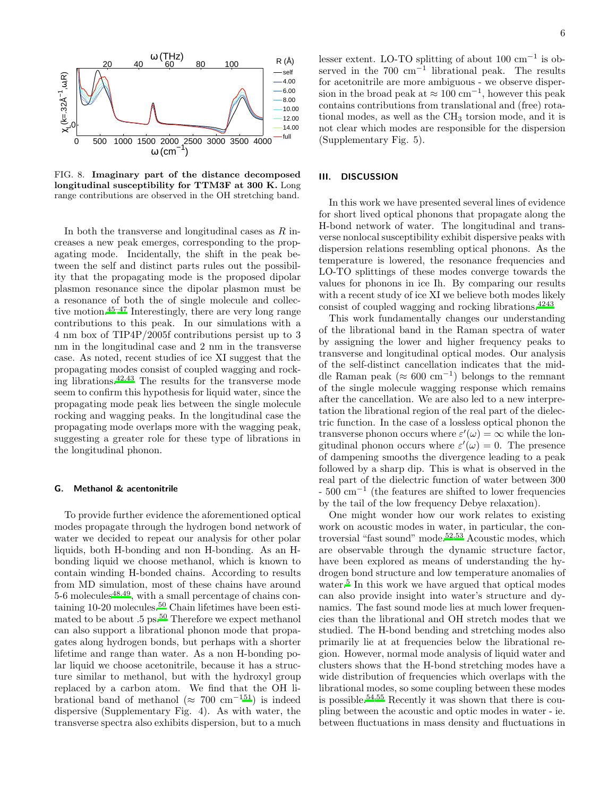

FIG. 8. Imaginary part of the distance decomposed longitudinal susceptibility for TTM3F at 300 K. Long range contributions are observed in the OH stretching band.

In both the transverse and longitudinal cases as  $R$  increases a new peak emerges, corresponding to the propagating mode. Incidentally, the shift in the peak between the self and distinct parts rules out the possibility that the propagating mode is the proposed dipolar plasmon resonance since the dipolar plasmon must be a resonance of both the of single molecule and collective motion.[45](#page-8-13)[–47](#page-8-14) Interestingly, there are very long range contributions to this peak. In our simulations with a 4 nm box of TIP4P/2005f contributions persist up to 3 nm in the longitudinal case and 2 nm in the transverse case. As noted, recent studies of ice XI suggest that the propagating modes consist of coupled wagging and rocking librations.[42](#page-8-10)[,43](#page-8-11) The results for the transverse mode seem to confirm this hypothesis for liquid water, since the propagating mode peak lies between the single molecule rocking and wagging peaks. In the longitudinal case the propagating mode overlaps more with the wagging peak, suggesting a greater role for these type of librations in the longitudinal phonon.

# G. Methanol & acentonitrile

To provide further evidence the aforementioned optical modes propagate through the hydrogen bond network of water we decided to repeat our analysis for other polar liquids, both H-bonding and non H-bonding. As an Hbonding liquid we choose methanol, which is known to contain winding H-bonded chains. According to results from MD simulation, most of these chains have around  $5-6$  molecules<sup>[48](#page-8-15)[,49](#page-8-16)</sup>, with a small percentage of chains con-taining 10-20 molecules.<sup>[50](#page-8-17)</sup> Chain lifetimes have been estimated to be about  $.5 \text{ ps.}^{50}$  $.5 \text{ ps.}^{50}$  $.5 \text{ ps.}^{50}$  Therefore we expect methanol can also support a librational phonon mode that propagates along hydrogen bonds, but perhaps with a shorter lifetime and range than water. As a non H-bonding polar liquid we choose acetonitrile, because it has a structure similar to methanol, but with the hydroxyl group replaced by a carbon atom. We find that the OH librational band of methanol ( $\approx 700 \text{ cm}^{-151}$  $\approx 700 \text{ cm}^{-151}$  $\approx 700 \text{ cm}^{-151}$ ) is indeed dispersive (Supplementary Fig. 4). As with water, the transverse spectra also exhibits dispersion, but to a much

lesser extent. LO-TO splitting of about 100 cm<sup>−</sup><sup>1</sup> is observed in the  $700 \text{ cm}^{-1}$  librational peak. The results for acetonitrile are more ambiguous - we observe dispersion in the broad peak at  $\approx 100 \text{ cm}^{-1}$ , however this peak contains contributions from translational and (free) rotational modes, as well as the CH<sub>3</sub> torsion mode, and it is not clear which modes are responsible for the dispersion (Supplementary Fig. 5).

# III. DISCUSSION

In this work we have presented several lines of evidence for short lived optical phonons that propagate along the H-bond network of water. The longitudinal and transverse nonlocal susceptibility exhibit dispersive peaks with dispersion relations resembling optical phonons. As the temperature is lowered, the resonance frequencies and LO-TO splittings of these modes converge towards the values for phonons in ice Ih. By comparing our results with a recent study of ice XI we believe both modes likely consist of coupled wagging and rocking librations.[42](#page-8-10)[43](#page-8-11)

This work fundamentally changes our understanding of the librational band in the Raman spectra of water by assigning the lower and higher frequency peaks to transverse and longitudinal optical modes. Our analysis of the self-distinct cancellation indicates that the middle Raman peak ( $\approx 600 \text{ cm}^{-1}$ ) belongs to the remnant of the single molecule wagging response which remains after the cancellation. We are also led to a new interpretation the librational region of the real part of the dielectric function. In the case of a lossless optical phonon the transverse phonon occurs where  $\varepsilon'(\omega) = \infty$  while the longitudinal phonon occurs where  $\varepsilon'(\omega) = 0$ . The presence of dampening smooths the divergence leading to a peak followed by a sharp dip. This is what is observed in the real part of the dielectric function of water between 300 - 500 cm<sup>−</sup><sup>1</sup> (the features are shifted to lower frequencies by the tail of the low frequency Debye relaxation).

One might wonder how our work relates to existing work on acoustic modes in water, in particular, the controversial "fast sound" mode.[52](#page-8-19)[,53](#page-8-20) Acoustic modes, which are observable through the dynamic structure factor, have been explored as means of understanding the hydrogen bond structure and low temperature anomalies of water.<sup>[5](#page-7-25)</sup> In this work we have argued that optical modes can also provide insight into water's structure and dynamics. The fast sound mode lies at much lower frequencies than the librational and OH stretch modes that we studied. The H-bond bending and stretching modes also primarily lie at at frequencies below the librational region. However, normal mode analysis of liquid water and clusters shows that the H-bond stretching modes have a wide distribution of frequencies which overlaps with the librational modes, so some coupling between these modes is possible.<sup>[54](#page-8-21)[,55](#page-8-22)</sup> Recently it was shown that there is coupling between the acoustic and optic modes in water - ie. between fluctuations in mass density and fluctuations in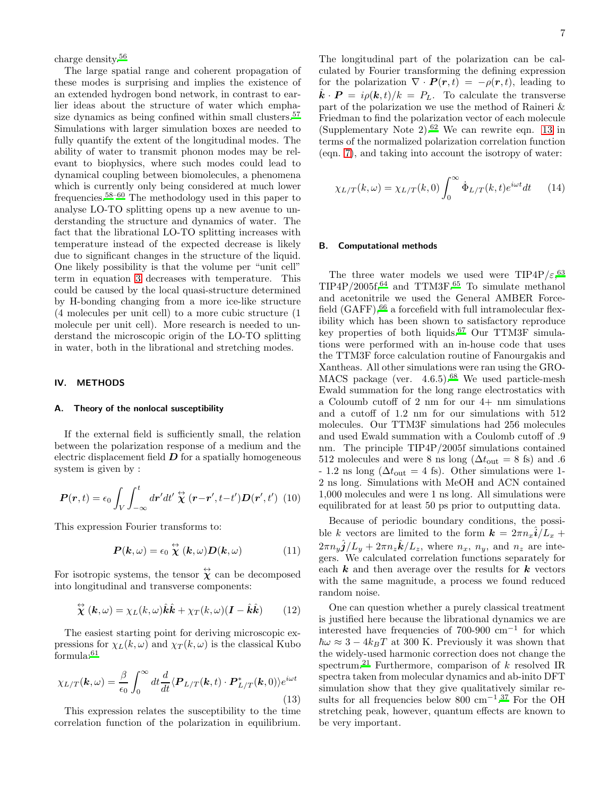charge density.[56](#page-8-23)

The large spatial range and coherent propagation of these modes is surprising and implies the existence of an extended hydrogen bond network, in contrast to earlier ideas about the structure of water which empha-size dynamics as being confined within small clusters.<sup>[57](#page-8-24)</sup> Simulations with larger simulation boxes are needed to fully quantify the extent of the longitudinal modes. The ability of water to transmit phonon modes may be relevant to biophysics, where such modes could lead to dynamical coupling between biomolecules, a phenomena which is currently only being considered at much lower frequencies.[58](#page-8-25)[–60](#page-8-26) The methodology used in this paper to analyse LO-TO splitting opens up a new avenue to understanding the structure and dynamics of water. The fact that the librational LO-TO splitting increases with temperature instead of the expected decrease is likely due to significant changes in the structure of the liquid. One likely possibility is that the volume per "unit cell" term in equation [3](#page-0-2) decreases with temperature. This could be caused by the local quasi-structure determined by H-bonding changing from a more ice-like structure (4 molecules per unit cell) to a more cubic structure (1 molecule per unit cell). More research is needed to understand the microscopic origin of the LO-TO splitting in water, both in the librational and stretching modes.

# IV. METHODS

#### Theory of the nonlocal susceptibility

If the external field is sufficiently small, the relation between the polarization response of a medium and the electric displacement field  $\bm{D}$  for a spatially homogeneous system is given by :

$$
\boldsymbol{P}(\boldsymbol{r},t) = \epsilon_0 \int_V \int_{-\infty}^t d\boldsymbol{r}' dt' \stackrel{\leftrightarrow}{\boldsymbol{\chi}} (\boldsymbol{r} - \boldsymbol{r}', t - t') \boldsymbol{D}(\boldsymbol{r}', t') \tag{10}
$$

This expression Fourier transforms to:

$$
P(k,\omega) = \epsilon_0 \stackrel{\leftrightarrow}{\chi}(k,\omega) D(k,\omega) \tag{11}
$$

For isotropic systems, the tensor  $\hat{\chi}$  can be decomposed into longitudinal and transverse components:

$$
\stackrel{\leftrightarrow}{\chi}(\mathbf{k},\omega) = \chi_L(k,\omega)\hat{\mathbf{k}}\hat{\mathbf{k}} + \chi_T(k,\omega)(\mathbf{I} - \hat{\mathbf{k}}\hat{\mathbf{k}}) \tag{12}
$$

The easiest starting point for deriving microscopic expressions for  $\chi_L(k,\omega)$  and  $\chi_T(k,\omega)$  is the classical Kubo formula:[61](#page-8-27)

<span id="page-6-0"></span>
$$
\chi_{L/T}(\mathbf{k},\omega) = \frac{\beta}{\epsilon_0} \int_0^\infty dt \frac{d}{dt} \langle \mathbf{P}_{L/T}(\mathbf{k},t) \cdot \mathbf{P}_{L/T}^*(\mathbf{k},0) \rangle e^{i\omega t}
$$
(13)

This expression relates the susceptibility to the time correlation function of the polarization in equilibrium.

The longitudinal part of the polarization can be calculated by Fourier transforming the defining expression for the polarization  $\nabla \cdot \bm{P}(\bm{r}, t) = -\rho(\bm{r}, t)$ , leading to  $\hat{k} \cdot \mathbf{P} = i \rho(\mathbf{k}, t)/k = P_L$ . To calculate the transverse part of the polarization we use the method of Raineri & Friedman to find the polarization vector of each molecule (Supplementary Note 2).<sup>[62](#page-8-28)</sup> We can rewrite eqn. [13](#page-6-0) in terms of the normalized polarization correlation function (eqn. [7\)](#page-1-2), and taking into account the isotropy of water:

<span id="page-6-1"></span>
$$
\chi_{L/T}(k,\omega) = \chi_{L/T}(k,0) \int_0^\infty \dot{\Phi}_{L/T}(k,t) e^{i\omega t} dt \qquad (14)
$$

#### B. Computational methods

The three water models we used were TIP4P/ $\varepsilon$ ,<sup>[63](#page-8-29)</sup>,  $TIP4P/2005f,$ <sup>[64](#page-8-30)</sup> and  $TTM3F.$ <sup>[65](#page-8-31)</sup> To simulate methanol and acetonitrile we used the General AMBER Forcefield  $(GAFF)$ ,  $66$  a forcefield with full intramolecular flexibility which has been shown to satisfactory reproduce key properties of both liquids.[67](#page-8-33) Our TTM3F simulations were performed with an in-house code that uses the TTM3F force calculation routine of Fanourgakis and Xantheas. All other simulations were ran using the GRO-MACS package (ver.  $4.6.5$ ).<sup>[68](#page-8-34)</sup> We used particle-mesh Ewald summation for the long range electrostatics with a Coloumb cutoff of 2 nm for our 4+ nm simulations and a cutoff of 1.2 nm for our simulations with 512 molecules. Our TTM3F simulations had 256 molecules and used Ewald summation with a Coulomb cutoff of .9 nm. The principle TIP4P/2005f simulations contained 512 molecules and were 8 ns long ( $\Delta t_{\text{out}} = 8$  fs) and .6  $-1.2$  ns long ( $\Delta t_{\text{out}} = 4$  fs). Other simulations were 1-2 ns long. Simulations with MeOH and ACN contained 1,000 molecules and were 1 ns long. All simulations were equilibrated for at least 50 ps prior to outputting data.

Because of periodic boundary conditions, the possible k vectors are limited to the form  $\mathbf{k} = 2\pi n_x \hat{\mathbf{i}}/L_x +$  $2\pi n_y \hat{\boldsymbol{j}}/L_y + 2\pi n_z \hat{\boldsymbol{k}}/L_z$ , where  $n_x$ ,  $n_y$ , and  $n_z$  are integers. We calculated correlation functions separately for each  $k$  and then average over the results for  $k$  vectors with the same magnitude, a process we found reduced random noise.

One can question whether a purely classical treatment is justified here because the librational dynamics we are interested have frequencies of 700-900 cm<sup>−</sup><sup>1</sup> for which  $\hbar\omega \approx 3 - 4k_BT$  at 300 K. Previously it was shown that the widely-used harmonic correction does not change the spectrum.<sup>[21](#page-7-14)</sup> Furthermore, comparison of  $k$  resolved IR spectra taken from molecular dynamics and ab-inito DFT simulation show that they give qualitatively similar re-sults for all frequencies below 800 cm<sup>-1.[37](#page-8-5)</sup> For the OH stretching peak, however, quantum effects are known to be very important.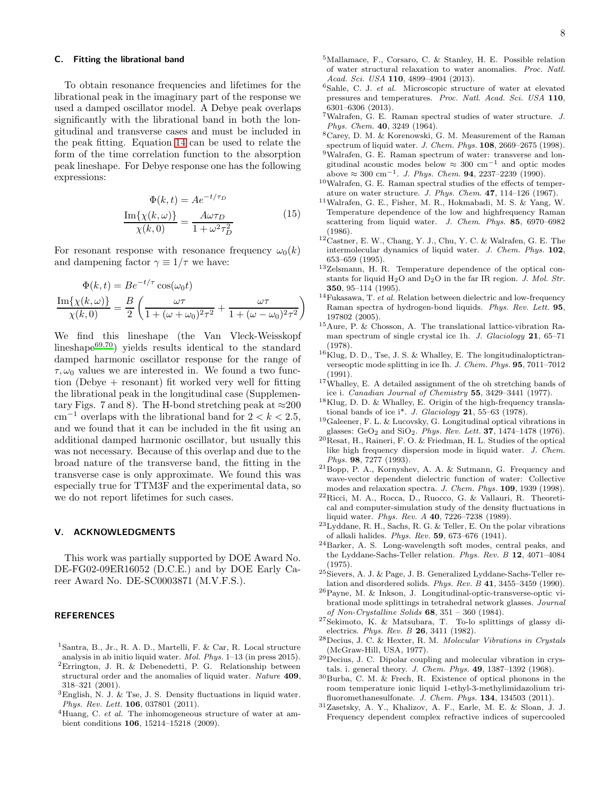#### C. Fitting the librational band

To obtain resonance frequencies and lifetimes for the librational peak in the imaginary part of the response we used a damped oscillator model. A Debye peak overlaps significantly with the librational band in both the longitudinal and transverse cases and must be included in the peak fitting. Equation [14](#page-6-1) can be used to relate the form of the time correlation function to the absorption peak lineshape. For Debye response one has the following expressions:

$$
\Phi(k,t) = Ae^{-t/\tau_D}
$$

$$
\frac{\text{Im}\{\chi(k,\omega)\}}{\chi(k,0)} = \frac{A\omega\tau_D}{1 + \omega^2\tau_D^2}
$$
(15)

For resonant response with resonance frequency  $\omega_0(k)$ and dampening factor  $\gamma \equiv 1/\tau$  we have:

$$
\Phi(k,t) = Be^{-t/\tau} \cos(\omega_0 t)
$$

$$
\frac{\text{Im}\{\chi(k,\omega)\}}{\chi(k,0)} = \frac{B}{2} \left( \frac{\omega \tau}{1 + (\omega + \omega_0)^2 \tau^2} + \frac{\omega \tau}{1 + (\omega - \omega_0)^2 \tau^2} \right)
$$

We find this lineshape (the Van Vleck-Weisskopf lineshape $^{69,70}$  $^{69,70}$  $^{69,70}$  $^{69,70}$ ) yields results identical to the standard damped harmonic oscillator response for the range of  $\tau, \omega_0$  values we are interested in. We found a two function (Debye + resonant) fit worked very well for fitting the librational peak in the longitudinal case (Supplementary Figs. 7 and 8). The H-bond stretching peak at  $\approx 200$ cm<sup>-1</sup> overlaps with the librational band for  $2 < k < 2.5$ , and we found that it can be included in the fit using an additional damped harmonic oscillator, but usually this was not necessary. Because of this overlap and due to the broad nature of the transverse band, the fitting in the transverse case is only approximate. We found this was especially true for TTM3F and the experimental data, so we do not report lifetimes for such cases.

# V. ACKNOWLEDGMENTS

This work was partially supported by DOE Award No. DE-FG02-09ER16052 (D.C.E.) and by DOE Early Career Award No. DE-SC0003871 (M.V.F.S.).

#### REFERENCES

- <span id="page-7-0"></span><sup>1</sup>Santra, B., Jr., R. A. D., Martelli, F. & Car, R. Local structure analysis in ab initio liquid water. *Mol. Phys.* 1–13 (in press 2015). <sup>2</sup>Errington, J. R. & Debenedetti, P. G. Relationship between structural order and the anomalies of liquid water. *Nature* 409, 318–321 (2001).
- $^3\mathrm{English},$  N. J. & Tse, J. S. Density fluctuations in liquid water. *Phys. Rev. Lett.* 106, 037801 (2011).
- <sup>4</sup>Huang, C. *et al.* The inhomogeneous structure of water at ambient conditions 106, 15214–15218 (2009).
- <span id="page-7-25"></span><sup>5</sup>Mallamace, F., Corsaro, C. & Stanley, H. E. Possible relation of water structural relaxation to water anomalies. *Proc. Natl. Acad. Sci. USA* 110, 4899–4904 (2013).
- <span id="page-7-1"></span><sup>6</sup>Sahle, C. J. *et al.* Microscopic structure of water at elevated pressures and temperatures. *Proc. Natl. Acad. Sci. USA* 110, 6301–6306 (2013).
- <span id="page-7-2"></span><sup>7</sup>Walrafen, G. E. Raman spectral studies of water structure. *J. Phys. Chem.* 40, 3249 (1964).
- <span id="page-7-3"></span><sup>8</sup>Carey, D. M. & Korenowski, G. M. Measurement of the Raman spectrum of liquid water. *J. Chem. Phys.* 108, 2669–2675 (1998).
- <span id="page-7-5"></span><sup>9</sup>Walrafen, G. E. Raman spectrum of water: transverse and longitudinal acoustic modes below  $\approx 300 \text{ cm}^{-1}$  and optic modes above  $\approx 300 \text{ cm}^{-1}$ . *J. Phys. Chem.* **94**, 2237–2239 (1990).
- <span id="page-7-26"></span><sup>10</sup>Walrafen, G. E. Raman spectral studies of the effects of temperature on water structure. *J. Phys. Chem.* 47, 114–126 (1967).
- <span id="page-7-6"></span><sup>11</sup>Walrafen, G. E., Fisher, M. R., Hokmabadi, M. S. & Yang, W. Temperature dependence of the low and highfrequency Raman scattering from liquid water. *J. Chem. Phys.* 85, 6970–6982 (1986).
- <span id="page-7-4"></span> $^{12}\mathrm{Castner},$  E. W., Chang, Y. J., Chu, Y. C. & Walrafen, G. E. The intermolecular dynamics of liquid water. *J. Chem. Phys.* 102, 653–659 (1995).
- <span id="page-7-7"></span><sup>13</sup>Zelsmann, H. R. Temperature dependence of the optical constants for liquid H2O and D2O in the far IR region. *J. Mol. Str.* 350, 95–114 (1995).
- <span id="page-7-8"></span><sup>14</sup>Fukasawa, T. *et al.* Relation between dielectric and low-frequency Raman spectra of hydrogen-bond liquids. *Phys. Rev. Lett.* 95, 197802 (2005).
- <span id="page-7-9"></span><sup>15</sup>Aure, P. & Chosson, A. The translational lattice-vibration Raman spectrum of single crystal ice 1h. *J. Glaciology* 21, 65–71 (1978).
- $^{16}$ Klug, D. D., Tse, J. S. & Whalley, E. The longitudinal optic tranverseoptic mode splitting in ice Ih. *J. Chem. Phys.* 95, 7011–7012 (1991).
- <span id="page-7-10"></span><sup>17</sup>Whalley, E. A detailed assignment of the oh stretching bands of ice i. *Canadian Journal of Chemistry* 55, 3429–3441 (1977).
- <span id="page-7-11"></span> $^{18}\mathrm{Klug},$  D. D. & Whalley, E. Origin of the high-frequency translational bands of ice i\*. *J. Glaciology* 21, 55–63 (1978).
- <span id="page-7-12"></span> $^{19}\rm{Galeener},$  F. L. & Lucovsky, G. Longitudinal optical vibrations in glasses: GeO<sup>2</sup> and SiO2. *Phys. Rev. Lett.* 37, 1474–1478 (1976).
- <span id="page-7-13"></span><sup>20</sup>Resat, H., Raineri, F. O. & Friedman, H. L. Studies of the optical like high frequency dispersion mode in liquid water. *J. Chem. Phys.* 98, 7277 (1993).
- <span id="page-7-14"></span><sup>21</sup>Bopp, P. A., Kornyshev, A. A. & Sutmann, G. Frequency and wave-vector dependent dielectric function of water: Collective modes and relaxation spectra. *J. Chem. Phys.* 109, 1939 (1998).
- <span id="page-7-15"></span><sup>22</sup>Ricci, M. A., Rocca, D., Ruocco, G. & Vallauri, R. Theoretical and computer-simulation study of the density fluctuations in liquid water. *Phys. Rev. A* 40, 7226–7238 (1989).
- <span id="page-7-16"></span><sup>23</sup>Lyddane, R. H., Sachs, R. G. & Teller, E. On the polar vibrations of alkali halides. *Phys. Rev.* 59, 673–676 (1941).
- <span id="page-7-17"></span><sup>24</sup>Barker, A. S. Long-wavelength soft modes, central peaks, and the Lyddane-Sachs-Teller relation. *Phys. Rev. B* 12, 4071–4084 (1975).
- <span id="page-7-18"></span><sup>25</sup>Sievers, A. J. & Page, J. B. Generalized Lyddane-Sachs-Teller relation and disordered solids. *Phys. Rev. B* 41, 3455–3459 (1990).
- <span id="page-7-19"></span><sup>26</sup>Payne, M. & Inkson, J. Longitudinal-optic-transverse-optic vibrational mode splittings in tetrahedral network glasses. *Journal of Non-Crystalline Solids* 68, 351 – 360 (1984).
- <span id="page-7-20"></span><sup>27</sup>Sekimoto, K. & Matsubara, T. To-lo splittings of glassy dielectrics. *Phys. Rev. B* 26, 3411 (1982).
- <span id="page-7-21"></span><sup>28</sup>Decius, J. C. & Hexter, R. M. *Molecular Vibrations in Crystals* (McGraw-Hill, USA, 1977).
- <span id="page-7-22"></span> $^{29}$ Decius, J. C. Dipolar coupling and molecular vibration in crystals. i. general theory. *J. Chem. Phys.* 49, 1387–1392 (1968).
- <span id="page-7-24"></span><sup>30</sup>Burba, C. M. & Frech, R. Existence of optical phonons in the room temperature ionic liquid 1-ethyl-3-methylimidazolium trifluoromethanesulfonate. *J. Chem. Phys.* 134, 134503 (2011).
- <span id="page-7-23"></span><sup>31</sup>Zasetsky, A. Y., Khalizov, A. F., Earle, M. E. & Sloan, J. J. Frequency dependent complex refractive indices of supercooled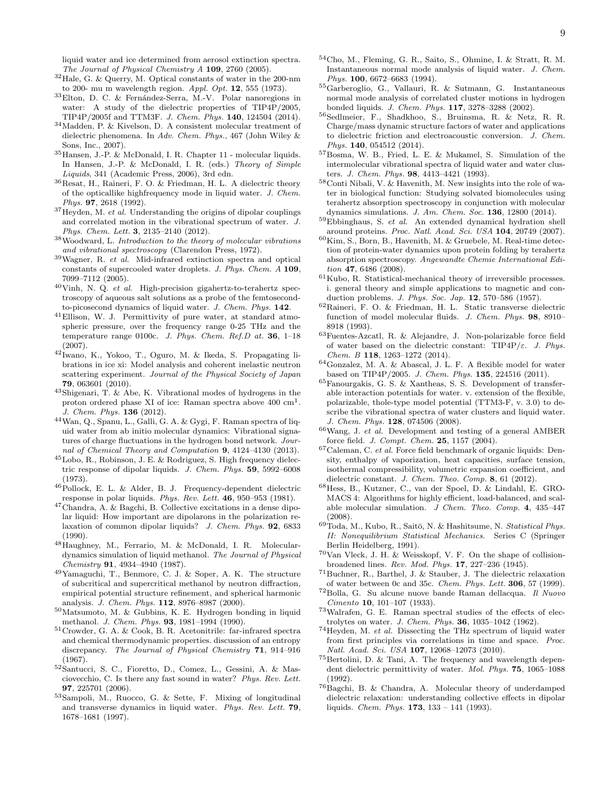- <span id="page-8-0"></span> $^{32}\mathrm{Hale},$  G. & Querry, M. Optical constants of water in the 200-nm to 200- mu m wavelength region. *Appl. Opt.* 12, 555 (1973).
- <span id="page-8-1"></span> $^{33}\mathrm{Elton},$  D. C. & Fernández-Serra, M.-V. Polar nanoregions in water: A study of the dielectric properties of TIP4P/2005, TIP4P/2005f and TTM3F. *J. Chem. Phys.* 140, 124504 (2014).
- <span id="page-8-2"></span><sup>34</sup>Madden, P. & Kivelson, D. A consistent molecular treatment of dielectric phenomena. In *Adv. Chem. Phys.*, 467 (John Wiley & Sons, Inc., 2007).
- <span id="page-8-3"></span> $^{35}\rm{Hansen},$  J.-P. & McDonald, I. R. Chapter 11 - molecular liquids. In Hansen, J.-P. & McDonald, I. R. (eds.) *Theory of Simple Liquids*, 341 (Academic Press, 2006), 3rd edn.
- <span id="page-8-4"></span><sup>36</sup>Resat, H., Raineri, F. O. & Friedman, H. L. A dielectric theory of the opticallike highfrequency mode in liquid water. *J. Chem. Phys.* 97, 2618 (1992).
- <span id="page-8-5"></span><sup>37</sup>Heyden, M. *et al.* Understanding the origins of dipolar couplings and correlated motion in the vibrational spectrum of water. *J. Phys. Chem. Lett.* 3, 2135–2140 (2012).
- <span id="page-8-6"></span><sup>38</sup>Woodward, L. *Introduction to the theory of molecular vibrations and vibrational spectroscopy* (Clarendon Press, 1972).
- <span id="page-8-7"></span><sup>39</sup>Wagner, R. *et al.* Mid-infrared extinction spectra and optical constants of supercooled water droplets. *J. Phys. Chem. A* 109, 7099–7112 (2005).
- <span id="page-8-8"></span><sup>40</sup>Vinh, N. Q. *et al.* High-precision gigahertz-to-terahertz spectroscopy of aqueous salt solutions as a probe of the femtosecondto-picosecond dynamics of liquid water. *J. Chem. Phys.* 142.
- <span id="page-8-9"></span><sup>41</sup>Ellison, W. J. Permittivity of pure water, at standard atmospheric pressure, over the frequency range 0-25 THz and the temperature range 0100c. *J. Phys. Chem. Ref.D at.* 36, 1–18 (2007).
- <span id="page-8-10"></span><sup>42</sup>Iwano, K., Yokoo, T., Oguro, M. & Ikeda, S. Propagating librations in ice xi: Model analysis and coherent inelastic neutron scattering experiment. *Journal of the Physical Society of Japan* 79, 063601 (2010).
- <span id="page-8-11"></span><sup>43</sup>Shigenari, T. & Abe, K. Vibrational modes of hydrogens in the proton ordered phase XI of ice: Raman spectra above  $400 \text{ cm}^1$ . *J. Chem. Phys.* 136 (2012).
- <span id="page-8-12"></span><sup>44</sup>Wan, Q., Spanu, L., Galli, G. A. & Gygi, F. Raman spectra of liquid water from ab initio molecular dynamics: Vibrational signatures of charge fluctuations in the hydrogen bond network. *Journal of Chemical Theory and Computation* 9, 4124–4130 (2013).
- <span id="page-8-13"></span><sup>45</sup>Lobo, R., Robinson, J. E. & Rodriguez, S. High frequency dielectric response of dipolar liquids. *J. Chem. Phys.* 59, 5992–6008 (1973).
- <sup>46</sup>Pollock, E. L. & Alder, B. J. Frequency-dependent dielectric response in polar liquids. *Phys. Rev. Lett.* 46, 950–953 (1981).
- <span id="page-8-14"></span> $^{47}\rm Chandra,$  A.  $\&$  Bagchi, B. Collective excitations in a dense dipolar liquid: How important are dipolarons in the polarization relaxation of common dipolar liquids? *J. Chem. Phys.* 92, 6833 (1990).
- <span id="page-8-15"></span><sup>48</sup>Haughney, M., Ferrario, M. & McDonald, I. R. Moleculardynamics simulation of liquid methanol. *The Journal of Physical Chemistry* 91, 4934–4940 (1987).
- <span id="page-8-16"></span><sup>49</sup>Yamaguchi, T., Benmore, C. J. & Soper, A. K. The structure of subcritical and supercritical methanol by neutron diffraction, empirical potential structure refinement, and spherical harmonic analysis. *J. Chem. Phys.* 112, 8976–8987 (2000).
- <span id="page-8-17"></span><sup>50</sup>Matsumoto, M. & Gubbins, K. E. Hydrogen bonding in liquid methanol. *J. Chem. Phys.* 93, 1981–1994 (1990).
- <span id="page-8-18"></span> $^{51}\mathrm{Crowder},$  G. A. & Cook, B. R. Acetonitrile: far-infrared spectra and chemical thermodynamic properties. discussion of an entropy discrepancy. *The Journal of Physical Chemistry* 71, 914–916 (1967).
- <span id="page-8-19"></span><sup>52</sup>Santucci, S. C., Fioretto, D., Comez, L., Gessini, A. & Masciovecchio, C. Is there any fast sound in water? *Phys. Rev. Lett.* 97, 225701 (2006).
- <span id="page-8-20"></span><sup>53</sup>Sampoli, M., Ruocco, G. & Sette, F. Mixing of longitudinal and transverse dynamics in liquid water. *Phys. Rev. Lett.* 79, 1678–1681 (1997).
- <span id="page-8-21"></span><sup>54</sup>Cho, M., Fleming, G. R., Saito, S., Ohmine, I. & Stratt, R. M. Instantaneous normal mode analysis of liquid water. *J. Chem. Phys.* 100, 6672–6683 (1994).
- <span id="page-8-22"></span><sup>55</sup>Garberoglio, G., Vallauri, R. & Sutmann, G. Instantaneous normal mode analysis of correlated cluster motions in hydrogen bonded liquids. *J. Chem. Phys.* 117, 3278–3288 (2002).
- <span id="page-8-23"></span><sup>56</sup>Sedlmeier, F., Shadkhoo, S., Bruinsma, R. & Netz, R. R. Charge/mass dynamic structure factors of water and applications to dielectric friction and electroacoustic conversion. *J. Chem. Phys.* 140, 054512 (2014).
- <span id="page-8-24"></span><sup>57</sup>Bosma, W. B., Fried, L. E. & Mukamel, S. Simulation of the intermolecular vibrational spectra of liquid water and water clusters. *J. Chem. Phys.* 98, 4413–4421 (1993).
- <span id="page-8-25"></span> $^{58}\mathrm{Conti}$  Nibali, V.  $\&$  Havenith, M. New insights into the role of water in biological function: Studying solvated biomolecules using terahertz absorption spectroscopy in conjunction with molecular dynamics simulations. *J. Am. Chem. Soc.* 136, 12800 (2014).
- <sup>59</sup>Ebbinghaus, S. *et al.* An extended dynamical hydration shell around proteins. *Proc. Natl. Acad. Sci. USA* 104, 20749 (2007).
- <span id="page-8-26"></span> $^{60}\mathrm{Kim}, \mathrm{S.}, \mathrm{Born}, \mathrm{B.},$  Havenith, M. & Gruebele, M. Real-time detection of protein-water dynamics upon protein folding by terahertz absorption spectroscopy. *Angewandte Chemie International Edition* 47, 6486 (2008).
- <span id="page-8-27"></span><sup>61</sup>Kubo, R. Statistical-mechanical theory of irreversible processes. i. general theory and simple applications to magnetic and conduction problems. *J. Phys. Soc. Jap.* 12, 570–586 (1957).
- <span id="page-8-28"></span> $^{62}\rm{Raineri},$  F. O. & Friedman, H. L. Static transverse dielectric function of model molecular fluids. *J. Chem. Phys.* 98, 8910– 8918 (1993).
- <span id="page-8-29"></span> $^{63}\rm{Fuentes-Azcatl},$  R.  $\&$  Alejandre, J. Non-polarizable force field of water based on the dielectric constant:  $TIP4P/\varepsilon$ . *J. Phys. Chem. B* 118, 1263–1272 (2014).
- <span id="page-8-30"></span><sup>64</sup>Gonzalez, M. A. & Abascal, J. L. F. A flexible model for water based on TIP4P/2005. *J. Chem. Phys.* 135, 224516 (2011).
- <span id="page-8-31"></span> $^{65}\rm{Fanourgakis},$  G. S. & Xantheas, S. S. Development of transferable interaction potentials for water. v. extension of the flexible, polarizable, thole-type model potential (TTM3-F, v. 3.0) to describe the vibrational spectra of water clusters and liquid water. *J. Chem. Phys.* 128, 074506 (2008).
- <span id="page-8-32"></span><sup>66</sup>Wang, J. *et al.* Development and testing of a general AMBER force field. *J. Compt. Chem.* 25, 1157 (2004).
- <span id="page-8-33"></span><sup>67</sup>Caleman, C. *et al.* Force field benchmark of organic liquids: Density, enthalpy of vaporization, heat capacities, surface tension, isothermal compressibility, volumetric expansion coefficient, and dielectric constant. *J. Chem. Theo. Comp.* 8, 61 (2012).
- <span id="page-8-34"></span><sup>68</sup>Hess, B., Kutzner, C., van der Spoel, D. & Lindahl, E. GRO-MACS 4: Algorithms for highly efficient, load-balanced, and scalable molecular simulation. *J Chem. Theo. Comp.* 4, 435–447 (2008).
- <span id="page-8-35"></span><sup>69</sup>Toda, M., Kubo, R., Saitō, N. & Hashitsume, N. *Statistical Phys. II: Nonequilibrium Statistical Mechanics*. Series C (Springer Berlin Heidelberg, 1991).
- <span id="page-8-36"></span> $^{70}\mathrm{Van}$  Vleck, J. H. & Weisskopf, V. F. On the shape of collisionbroadened lines. *Rev. Mod. Phys.* 17, 227–236 (1945).
- <span id="page-8-39"></span> $^{71}\rm{Buchner},$  R., Barthel, J. & Stauber, J. The dielectric relaxation of water between 0c and 35c. *Chem. Phys. Lett.* 306, 57 (1999).
- <span id="page-8-37"></span><sup>72</sup>Bolla, G. Su alcune nuove bande Raman dellacqua. *Il Nuovo Cimento* 10, 101–107 (1933).
- <span id="page-8-38"></span><sup>73</sup>Walrafen, G. E. Raman spectral studies of the effects of electrolytes on water. *J. Chem. Phys.* 36, 1035–1042 (1962).
- <span id="page-8-40"></span><sup>74</sup>Heyden, M. *et al.* Dissecting the THz spectrum of liquid water from first principles via correlations in time and space. *Proc. Natl. Acad. Sci. USA* 107, 12068–12073 (2010).
- <span id="page-8-41"></span><sup>75</sup>Bertolini, D. & Tani, A. The frequency and wavelength dependent dielectric permittivity of water. *Mol. Phys.* 75, 1065–1088 (1992).
- <span id="page-8-42"></span><sup>76</sup>Bagchi, B. & Chandra, A. Molecular theory of underdamped dielectric relaxation: understanding collective effects in dipolar liquids. *Chem. Phys.* 173, 133 – 141 (1993).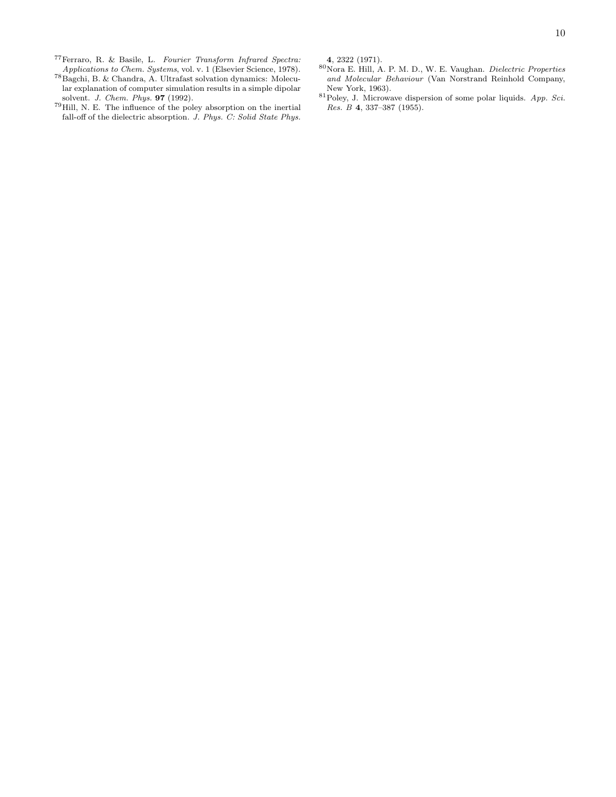<span id="page-9-0"></span><sup>77</sup>Ferraro, R. & Basile, L. *Fourier Transform Infrared Spectra: Applications to Chem. Systems*, vol. v. 1 (Elsevier Science, 1978).

- <span id="page-9-1"></span><sup>78</sup>Bagchi, B. & Chandra, A. Ultrafast solvation dynamics: Molecular explanation of computer simulation results in a simple dipolar solvent. *J. Chem. Phys.* 97 (1992).
- <span id="page-9-2"></span> $^{79}\mathrm{Hill,}$  N. E. The influence of the poley absorption on the inertial fall-off of the dielectric absorption. *J. Phys. C: Solid State Phys.*

4, 2322 (1971).

- <span id="page-9-3"></span><sup>80</sup>Nora E. Hill, A. P. M. D., W. E. Vaughan. *Dielectric Properties and Molecular Behaviour* (Van Norstrand Reinhold Company, New York, 1963).
- <span id="page-9-4"></span><sup>81</sup>Poley, J. Microwave dispersion of some polar liquids. *App. Sci. Res. B* 4, 337–387 (1955).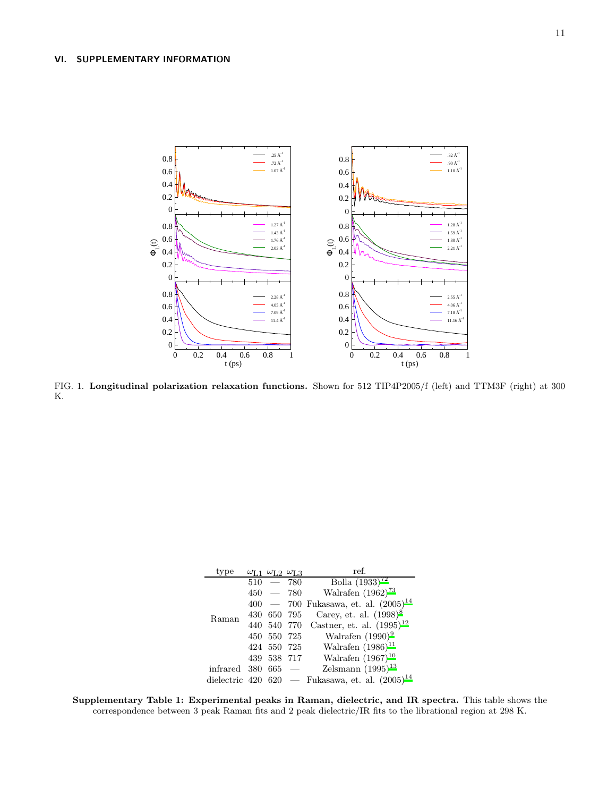# VI. SUPPLEMENTARY INFORMATION



<span id="page-10-0"></span>FIG. 1. Longitudinal polarization relaxation functions. Shown for 512 TIP4P2005/f (left) and TTM3F (right) at 300 K.

| type           |     |                          | $\omega_{\text{L2}}$ $\omega_{\text{L3}}$ | ref.                            |
|----------------|-----|--------------------------|-------------------------------------------|---------------------------------|
| Raman          | 510 | $\overline{\phantom{m}}$ | 780                                       | Bolla $\overline{(1933)^{72}}$  |
|                | 450 |                          | $-780$                                    | Walrafen $(1962)^{73}$          |
|                |     | $400 - 700$              |                                           | Fukasawa, et. al. $(2005)^{14}$ |
|                |     | 430 650 795              |                                           | Carey, et. al. $(1998)^8$       |
|                | 440 | 540                      | - 770                                     | Castner, et. al. $(1995)^{12}$  |
|                | 450 |                          | 550 725                                   | Walrafen $(1990)^9$             |
|                |     | 424 550                  | 725                                       | Walrafen $(1986)^{11}$          |
|                | 439 | - 538                    | -717                                      | Walrafen $(1967)^{10}$          |
| infrared       | 380 | 665                      |                                           | Zelsmann $(1995)^{13}$          |
| dielectric 420 |     | 620                      |                                           | Fukasawa, et. al. $(2005)^{14}$ |

Supplementary Table 1: Experimental peaks in Raman, dielectric, and IR spectra. This table shows the correspondence between 3 peak Raman fits and 2 peak dielectric/IR fits to the librational region at 298 K.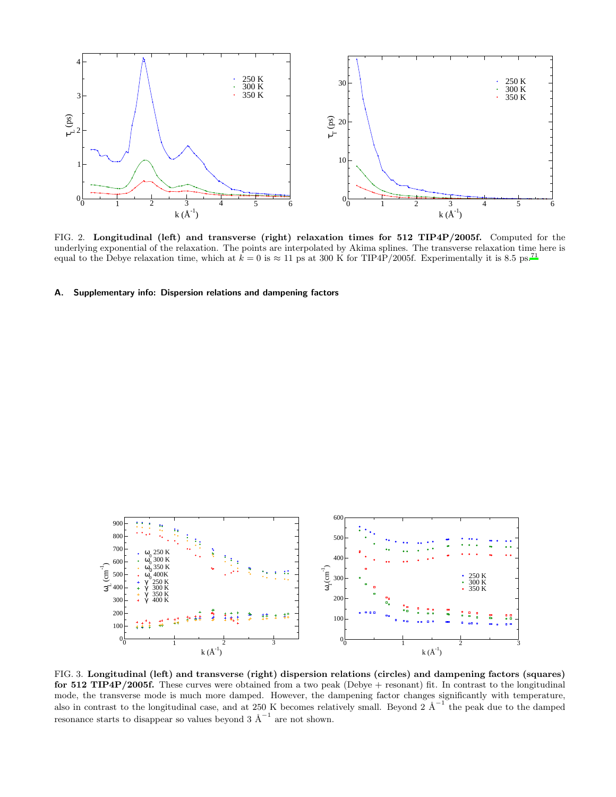

<span id="page-11-0"></span>FIG. 2. Longitudinal (left) and transverse (right) relaxation times for 512 TIP4P/2005f. Computed for the underlying exponential of the relaxation. The points are interpolated by Akima splines. The transverse relaxation time here is equal to the Debye relaxation time, which at  $k = 0$  is  $\approx 11$  ps at 300 K for TIP4P/2005f. Experimentally it is 8.5 ps.<sup>[71](#page-8-39)</sup>

# A. Supplementary info: Dispersion relations and dampening factors



<span id="page-11-1"></span>FIG. 3. Longitudinal (left) and transverse (right) dispersion relations (circles) and dampening factors (squares) for 512 TIP4P/2005f. These curves were obtained from a two peak (Debye + resonant) fit. In contrast to the longitudinal mode, the transverse mode is much more damped. However, the dampening factor changes significantly with temperature, also in contrast to the longitudinal case, and at 250 K becomes relatively small. Beyond 2  $\AA^{-1}$  the peak due to the damped resonance starts to disappear so values beyond 3  $\AA^{-1}$  are not shown.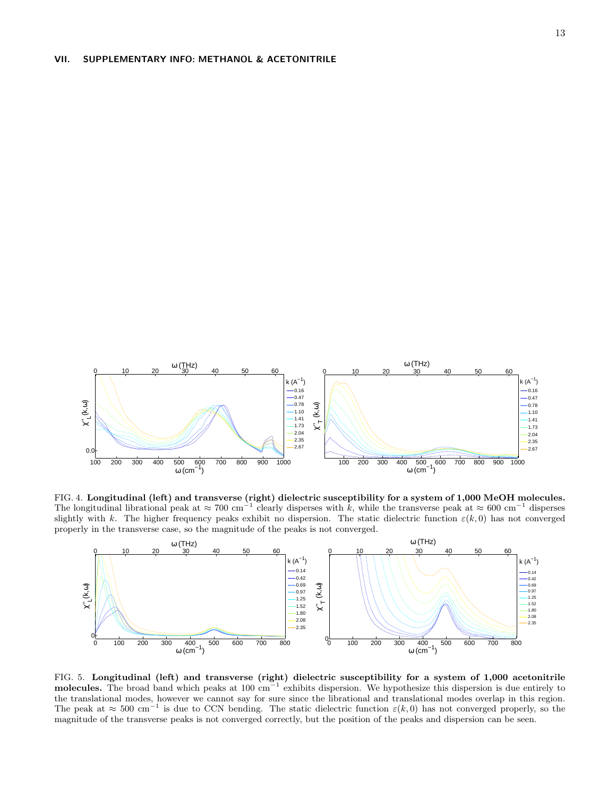

FIG. 4. Longitudinal (left) and transverse (right) dielectric susceptibility for a system of 1,000 MeOH molecules. The longitudinal librational peak at  $\approx 700 \text{ cm}^{-1}$  clearly disperses with k, while the transverse peak at  $\approx 600 \text{ cm}^{-1}$  disperses slightly with k. The higher frequency peaks exhibit no dispersion. The static dielectric function  $\varepsilon(k,0)$  has not converged properly in the transverse case, so the magnitude of the peaks is not converged.



<span id="page-12-0"></span>FIG. 5. Longitudinal (left) and transverse (right) dielectric susceptibility for a system of 1,000 acetonitrile molecules. The broad band which peaks at 100 cm<sup>-1</sup> exhibits dispersion. We hypothesize this dispersion is due entirely to the translational modes, however we cannot say for sure since the librational and translational modes overlap in this region. The peak at  $\approx 500 \text{ cm}^{-1}$  is due to CCN bending. The static dielectric function  $\varepsilon(k,0)$  has not converged properly, so the magnitude of the transverse peaks is not converged correctly, but the position of the peaks and dispersion can be seen.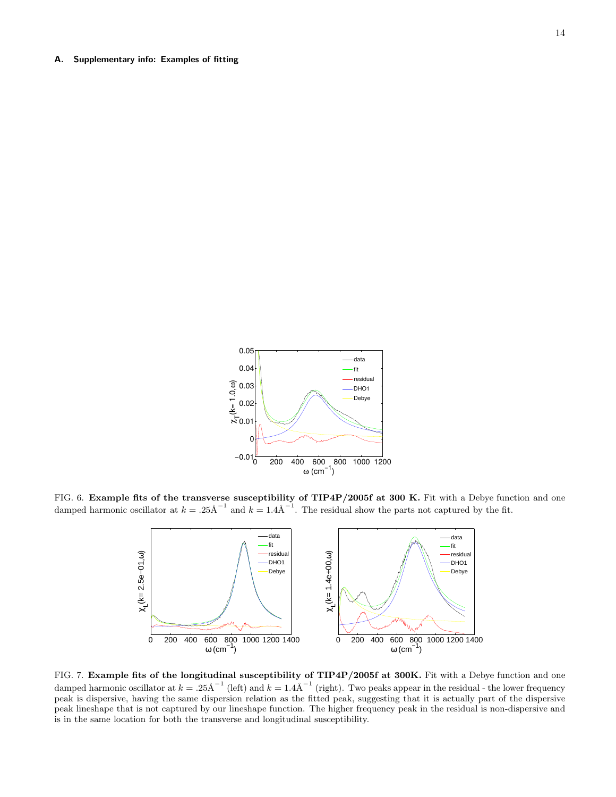# A. Supplementary info: Examples of fitting



<span id="page-13-0"></span>FIG. 6. Example fits of the transverse susceptibility of TIP4P/2005f at 300 K. Fit with a Debye function and one damped harmonic oscillator at  $k = .25 \text{\AA}^{-1}$  and  $k = 1.4 \text{\AA}^{-1}$ . The residual show the parts not captured by the fit.



<span id="page-13-1"></span>FIG. 7. Example fits of the longitudinal susceptibility of TIP4P/2005f at 300K. Fit with a Debye function and one damped harmonic oscillator at  $k = .25\text{\AA}^{-1}$  (left) and  $k = 1.4\text{\AA}^{-1}$  (right). Two peaks appear in the residual - the lower frequency peak is dispersive, having the same dispersion relation as the fitted peak, suggesting that it is actually part of the dispersive peak lineshape that is not captured by our lineshape function. The higher frequency peak in the residual is non-dispersive and is in the same location for both the transverse and longitudinal susceptibility.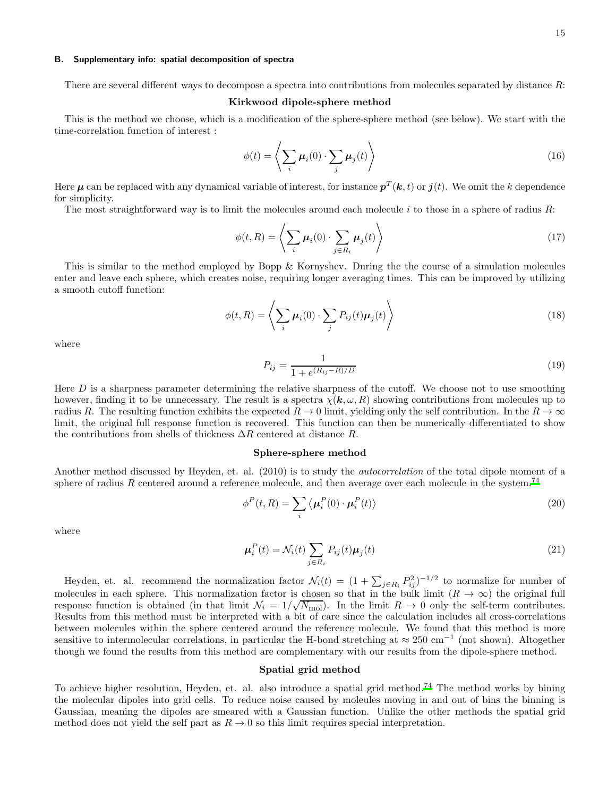# B. Supplementary info: spatial decomposition of spectra

There are several different ways to decompose a spectra into contributions from molecules separated by distance R:

### Kirkwood dipole-sphere method

This is the method we choose, which is a modification of the sphere-sphere method (see below). We start with the time-correlation function of interest :

$$
\phi(t) = \left\langle \sum_{i} \mu_i(0) \cdot \sum_{j} \mu_j(t) \right\rangle \tag{16}
$$

Here  $\bm\mu$  can be replaced with any dynamical variable of interest, for instance  $\bm p^T(\bm k,t)$  or  $\bm j(t)$ . We omit the  $k$  dependence for simplicity.

The most straightforward way is to limit the molecules around each molecule  $i$  to those in a sphere of radius  $R$ :

$$
\phi(t,R) = \left\langle \sum_{i} \mu_i(0) \cdot \sum_{j \in R_i} \mu_j(t) \right\rangle \tag{17}
$$

This is similar to the method employed by Bopp & Kornyshev. During the the course of a simulation molecules enter and leave each sphere, which creates noise, requiring longer averaging times. This can be improved by utilizing a smooth cutoff function:

$$
\phi(t,R) = \left\langle \sum_{i} \mu_i(0) \cdot \sum_{j} P_{ij}(t) \mu_j(t) \right\rangle
$$
\n(18)

where

$$
P_{ij} = \frac{1}{1 + e^{(R_{ij} - R)/D}}
$$
(19)

Here D is a sharpness parameter determining the relative sharpness of the cutoff. We choose not to use smoothing however, finding it to be unnecessary. The result is a spectra  $\chi(k,\omega,R)$  showing contributions from molecules up to radius R. The resulting function exhibits the expected  $R \to 0$  limit, yielding only the self contribution. In the  $R \to \infty$ limit, the original full response function is recovered. This function can then be numerically differentiated to show the contributions from shells of thickness  $\Delta R$  centered at distance R.

# Sphere-sphere method

Another method discussed by Heyden, et. al. (2010) is to study the autocorrelation of the total dipole moment of a sphere of radius R centered around a reference molecule, and then average over each molecule in the system.<sup>[74](#page-8-40)</sup>

$$
\phi^P(t, R) = \sum_i \langle \mu_i^P(0) \cdot \mu_i^P(t) \rangle \tag{20}
$$

where

$$
\boldsymbol{\mu}_i^P(t) = \mathcal{N}_i(t) \sum_{j \in R_i} P_{ij}(t) \boldsymbol{\mu}_j(t) \tag{21}
$$

Heyden, et. al. recommend the normalization factor  $\mathcal{N}_i(t) = (1 + \sum_{j \in R_i} P_{ij}^2)^{-1/2}$  to normalize for number of molecules in each sphere. This normalization factor is chosen so that in the bulk limit  $(R \to \infty)$  the original full response function is obtained (in that limit  $\mathcal{N}_i = 1/\sqrt{\mathcal{N}_{\text{mol}}}\)$ . In the limit  $R \to 0$  only the self-term contributes. Results from this method must be interpreted with a bit of care since the calculation includes all cross-correlations between molecules within the sphere centered around the reference molecule. We found that this method is more sensitive to intermolecular correlations, in particular the H-bond stretching at  $\approx 250 \text{ cm}^{-1}$  (not shown). Altogether though we found the results from this method are complementary with our results from the dipole-sphere method.

# Spatial grid method

To achieve higher resolution, Heyden, et. al. also introduce a spatial grid method.[74](#page-8-40) The method works by bining the molecular dipoles into grid cells. To reduce noise caused by moleules moving in and out of bins the binning is Gaussian, meaning the dipoles are smeared with a Gaussian function. Unlike the other methods the spatial grid method does not yield the self part as  $R \to 0$  so this limit requires special interpretation.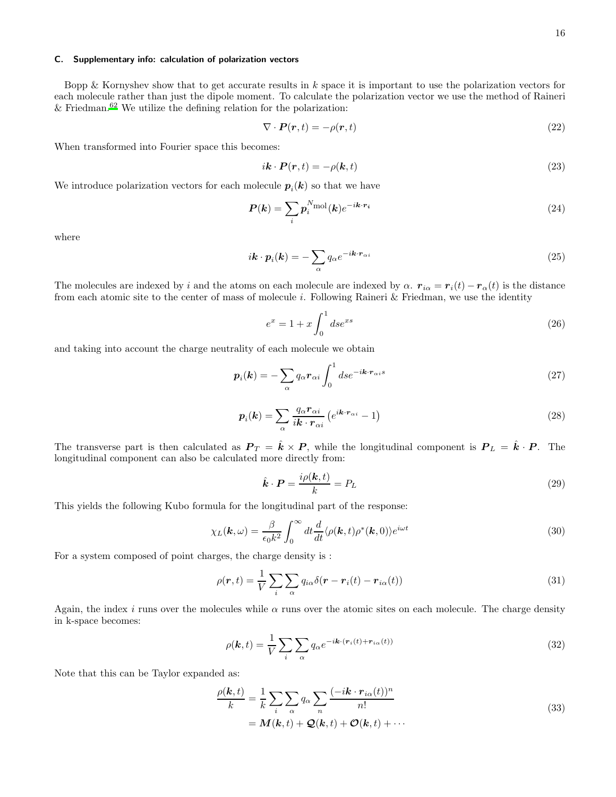# C. Supplementary info: calculation of polarization vectors

Bopp & Kornyshev show that to get accurate results in  $k$  space it is important to use the polarization vectors for each molecule rather than just the dipole moment. To calculate the polarization vector we use the method of Raineri & Friedman.<sup>[62](#page-8-28)</sup> We utilize the defining relation for the polarization:

$$
\nabla \cdot \boldsymbol{P}(\boldsymbol{r},t) = -\rho(\boldsymbol{r},t) \tag{22}
$$

When transformed into Fourier space this becomes:

$$
i\mathbf{k} \cdot \mathbf{P}(\mathbf{r},t) = -\rho(\mathbf{k},t) \tag{23}
$$

We introduce polarization vectors for each molecule  $p_i(k)$  so that we have

$$
P(k) = \sum_{i} p_i^{N_{\text{mol}}}(k) e^{-i\mathbf{k} \cdot \mathbf{r}_i}
$$
\n(24)

where

$$
i\mathbf{k} \cdot \mathbf{p}_i(\mathbf{k}) = -\sum_{\alpha} q_{\alpha} e^{-i\mathbf{k} \cdot \mathbf{r}_{\alpha i}} \tag{25}
$$

The molecules are indexed by i and the atoms on each molecule are indexed by  $\alpha$ .  $r_{i\alpha} = r_i(t) - r_\alpha(t)$  is the distance from each atomic site to the center of mass of molecule i. Following Raineri & Friedman, we use the identity

$$
e^x = 1 + x \int_0^1 ds e^{xs}
$$
 (26)

and taking into account the charge neutrality of each molecule we obtain

$$
\boldsymbol{p}_i(\boldsymbol{k}) = -\sum_{\alpha} q_{\alpha} \boldsymbol{r}_{\alpha i} \int_0^1 d s e^{-i \boldsymbol{k} \cdot \boldsymbol{r}_{\alpha i} s} \tag{27}
$$

$$
\boldsymbol{p}_i(\boldsymbol{k}) = \sum_{\alpha} \frac{q_{\alpha} \boldsymbol{r}_{\alpha i}}{i \boldsymbol{k} \cdot \boldsymbol{r}_{\alpha i}} \left( e^{i \boldsymbol{k} \cdot \boldsymbol{r}_{\alpha i}} - 1 \right)
$$
(28)

The transverse part is then calculated as  $P_T = \hat{k} \times P$ , while the longitudinal component is  $P_L = \hat{k} \cdot P$ . The longitudinal component can also be calculated more directly from:

$$
\hat{\boldsymbol{k}} \cdot \boldsymbol{P} = \frac{i\rho(\boldsymbol{k}, t)}{k} = P_L \tag{29}
$$

This yields the following Kubo formula for the longitudinal part of the response:

<span id="page-15-0"></span>
$$
\chi_L(\mathbf{k}, \omega) = \frac{\beta}{\epsilon_0 k^2} \int_0^\infty dt \frac{d}{dt} \langle \rho(\mathbf{k}, t) \rho^*(\mathbf{k}, 0) \rangle e^{i\omega t}
$$
(30)

For a system composed of point charges, the charge density is :

$$
\rho(\mathbf{r},t) = \frac{1}{V} \sum_{i} \sum_{\alpha} q_{i\alpha} \delta(\mathbf{r} - \mathbf{r}_i(t) - \mathbf{r}_{i\alpha}(t))
$$
\n(31)

Again, the index i runs over the molecules while  $\alpha$  runs over the atomic sites on each molecule. The charge density in k-space becomes:

$$
\rho(\mathbf{k},t) = \frac{1}{V} \sum_{i} \sum_{\alpha} q_{\alpha} e^{-i\mathbf{k} \cdot (\mathbf{r}_i(t) + \mathbf{r}_{i\alpha}(t))}
$$
(32)

Note that this can be Taylor expanded as:

$$
\frac{\rho(\mathbf{k},t)}{k} = \frac{1}{k} \sum_{i} \sum_{\alpha} q_{\alpha} \sum_{n} \frac{(-i\mathbf{k} \cdot \mathbf{r}_{i\alpha}(t))^{n}}{n!}
$$
  
=  $\mathbf{M}(\mathbf{k},t) + \mathbf{Q}(\mathbf{k},t) + \mathbf{O}(\mathbf{k},t) + \cdots$  (33)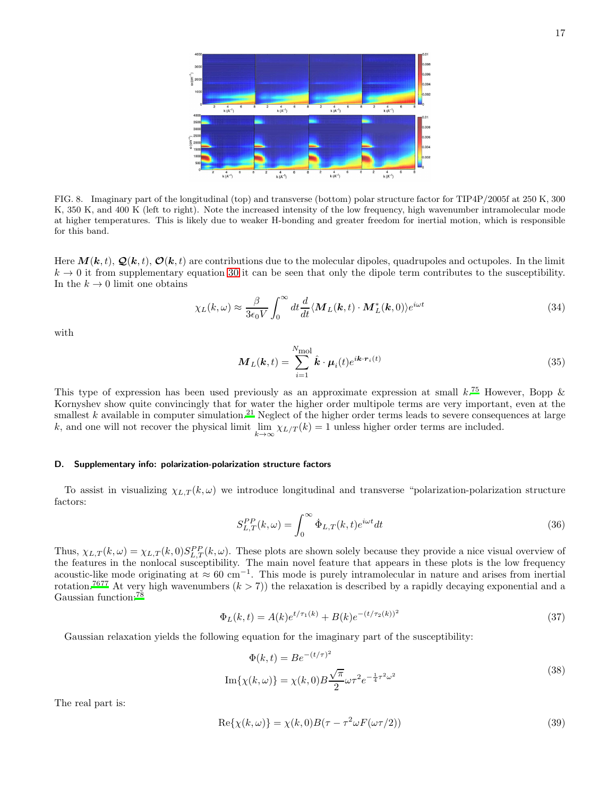

FIG. 8. Imaginary part of the longitudinal (top) and transverse (bottom) polar structure factor for TIP4P/2005f at 250 K, 300 K, 350 K, and 400 K (left to right). Note the increased intensity of the low frequency, high wavenumber intramolecular mode at higher temperatures. This is likely due to weaker H-bonding and greater freedom for inertial motion, which is responsible for this band.

Here  $M(k, t)$ ,  $\mathcal{Q}(k, t)$ ,  $\mathcal{O}(k, t)$  are contributions due to the molecular dipoles, quadrupoles and octupoles. In the limit  $k \to 0$  it from supplementary equation [30](#page-15-0) it can be seen that only the dipole term contributes to the susceptibility. In the  $k \to 0$  limit one obtains

$$
\chi_L(k,\omega) \approx \frac{\beta}{3\epsilon_0 V} \int_0^\infty dt \frac{d}{dt} \langle \mathbf{M}_L(\mathbf{k},t) \cdot \mathbf{M}_L^*(\mathbf{k},0) \rangle e^{i\omega t}
$$
(34)

with

$$
\boldsymbol{M}_{L}(\boldsymbol{k},t) = \sum_{i=1}^{N_{\text{mol}}} \hat{\boldsymbol{k}} \cdot \boldsymbol{\mu}_{i}(t) e^{i\boldsymbol{k} \cdot \boldsymbol{r}_{i}(t)}
$$
(35)

This type of expression has been used previously as an approximate expression at small  $k$ .<sup>[75](#page-8-41)</sup> However, Bopp  $\&$ Kornyshev show quite convincingly that for water the higher order multipole terms are very important, even at the smallest  $k$  available in computer simulation.<sup>[21](#page-7-14)</sup> Neglect of the higher order terms leads to severe consequences at large k, and one will not recover the physical limit  $\lim_{k \to \infty} \chi_{L/T}(k) = 1$  unless higher order terms are included.

#### D. Supplementary info: polarization-polarization structure factors

To assist in visualizing  $\chi_{L,T}(k,\omega)$  we introduce longitudinal and transverse "polarization-polarization structure factors:

$$
S_{L,T}^{PP}(k,\omega) = \int_0^\infty \dot{\Phi}_{L,T}(k,t)e^{i\omega t}dt
$$
\n(36)

Thus,  $\chi_{L,T}(k,\omega) = \chi_{L,T}(k,0) S_{L,T}^{PP}(k,\omega)$ . These plots are shown solely because they provide a nice visual overview of the features in the nonlocal susceptibility. The main novel feature that appears in these plots is the low frequency acoustic-like mode originating at  $\approx 60 \text{ cm}^{-1}$ . This mode is purely intramolecular in nature and arises from inertial rotation.<sup>[76](#page-8-42)[77](#page-9-0)</sup> At very high wavenumbers  $(k > 7)$  the relaxation is described by a rapidly decaying exponential and a Gaussian function:<sup>[78](#page-9-1)</sup>

$$
\Phi_L(k,t) = A(k)e^{t/\tau_1(k)} + B(k)e^{-(t/\tau_2(k))^2}
$$
\n(37)

Gaussian relaxation yields the following equation for the imaginary part of the susceptibility:

$$
\Phi(k,t) = Be^{-(t/\tau)^2}
$$
  

$$
\operatorname{Im}\{\chi(k,\omega)\} = \chi(k,0)B\frac{\sqrt{\pi}}{2}\omega\tau^2e^{-\frac{1}{4}\tau^2\omega^2}
$$
\n(38)

The real part is:

$$
Re\{\chi(k,\omega)\} = \chi(k,0)B(\tau - \tau^2\omega F(\omega\tau/2))
$$
\n(39)